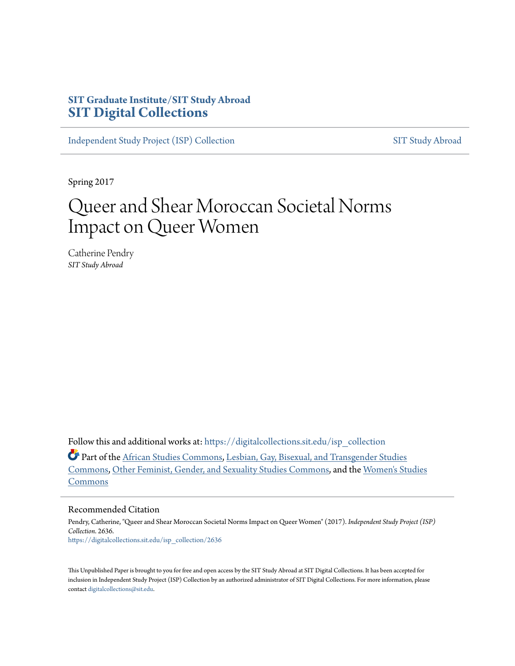# **SIT Graduate Institute/SIT Study Abroad [SIT Digital Collections](https://digitalcollections.sit.edu?utm_source=digitalcollections.sit.edu%2Fisp_collection%2F2636&utm_medium=PDF&utm_campaign=PDFCoverPages)**

[Independent Study Project \(ISP\) Collection](https://digitalcollections.sit.edu/isp_collection?utm_source=digitalcollections.sit.edu%2Fisp_collection%2F2636&utm_medium=PDF&utm_campaign=PDFCoverPages) [SIT Study Abroad](https://digitalcollections.sit.edu/study_abroad?utm_source=digitalcollections.sit.edu%2Fisp_collection%2F2636&utm_medium=PDF&utm_campaign=PDFCoverPages)

Spring 2017

# Queer and Shear Moroccan Societal Norms Impact on Queer Women

Catherine Pendry *SIT Study Abroad*

Follow this and additional works at: [https://digitalcollections.sit.edu/isp\\_collection](https://digitalcollections.sit.edu/isp_collection?utm_source=digitalcollections.sit.edu%2Fisp_collection%2F2636&utm_medium=PDF&utm_campaign=PDFCoverPages)

Part of the [African Studies Commons](http://network.bepress.com/hgg/discipline/1043?utm_source=digitalcollections.sit.edu%2Fisp_collection%2F2636&utm_medium=PDF&utm_campaign=PDFCoverPages), [Lesbian, Gay, Bisexual, and Transgender Studies](http://network.bepress.com/hgg/discipline/560?utm_source=digitalcollections.sit.edu%2Fisp_collection%2F2636&utm_medium=PDF&utm_campaign=PDFCoverPages) [Commons,](http://network.bepress.com/hgg/discipline/560?utm_source=digitalcollections.sit.edu%2Fisp_collection%2F2636&utm_medium=PDF&utm_campaign=PDFCoverPages) [Other Feminist, Gender, and Sexuality Studies Commons](http://network.bepress.com/hgg/discipline/562?utm_source=digitalcollections.sit.edu%2Fisp_collection%2F2636&utm_medium=PDF&utm_campaign=PDFCoverPages), and the [Women's Studies](http://network.bepress.com/hgg/discipline/561?utm_source=digitalcollections.sit.edu%2Fisp_collection%2F2636&utm_medium=PDF&utm_campaign=PDFCoverPages) [Commons](http://network.bepress.com/hgg/discipline/561?utm_source=digitalcollections.sit.edu%2Fisp_collection%2F2636&utm_medium=PDF&utm_campaign=PDFCoverPages)

#### Recommended Citation

Pendry, Catherine, "Queer and Shear Moroccan Societal Norms Impact on Queer Women" (2017). *Independent Study Project (ISP) Collection*. 2636. [https://digitalcollections.sit.edu/isp\\_collection/2636](https://digitalcollections.sit.edu/isp_collection/2636?utm_source=digitalcollections.sit.edu%2Fisp_collection%2F2636&utm_medium=PDF&utm_campaign=PDFCoverPages)

This Unpublished Paper is brought to you for free and open access by the SIT Study Abroad at SIT Digital Collections. It has been accepted for inclusion in Independent Study Project (ISP) Collection by an authorized administrator of SIT Digital Collections. For more information, please contact [digitalcollections@sit.edu](mailto:digitalcollections@sit.edu).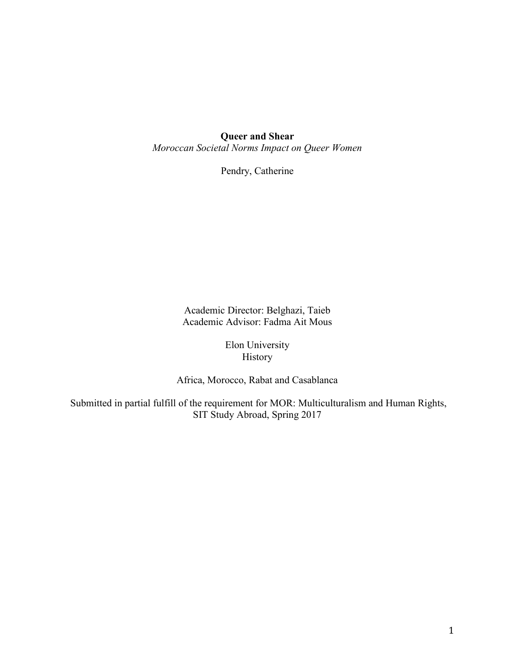Queer and Shear

*Moroccan Societal Norms Impact on Queer Women*

Pendry, Catherine

Academic Director: Belghazi, Taieb Academic Advisor: Fadma Ait Mous

> Elon University History

Africa, Morocco, Rabat and Casablanca

Submitted in partial fulfill of the requirement for MOR: Multiculturalism and Human Rights, SIT Study Abroad, Spring 2017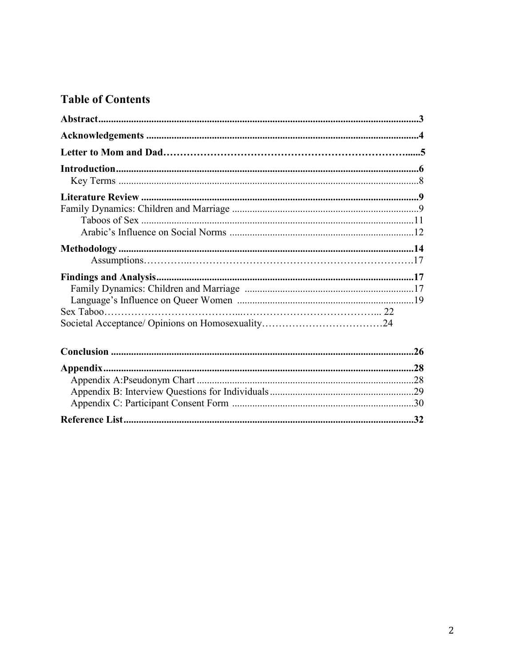# **Table of Contents**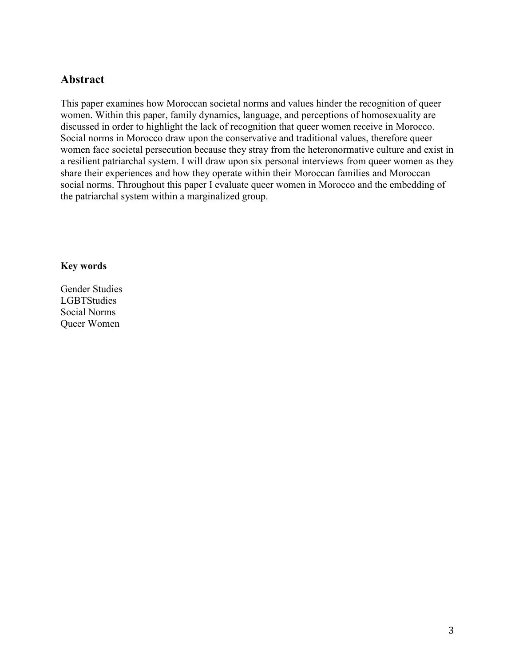# Abstract

This paper examines how Moroccan societal norms and values hinder the recognition of queer women. Within this paper, family dynamics, language, and perceptions of homosexuality are discussed in order to highlight the lack of recognition that queer women receive in Morocco. Social norms in Morocco draw upon the conservative and traditional values, therefore queer women face societal persecution because they stray from the heteronormative culture and exist in a resilient patriarchal system. I will draw upon six personal interviews from queer women as they share their experiences and how they operate within their Moroccan families and Moroccan social norms. Throughout this paper I evaluate queer women in Morocco and the embedding of the patriarchal system within a marginalized group.

### Key words

Gender Studies **LGBTStudies** Social Norms Queer Women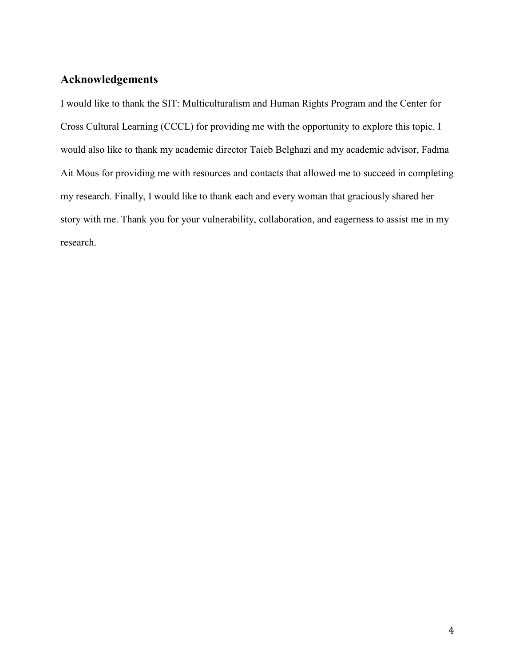# Acknowledgements

I would like to thank the SIT: Multiculturalism and Human Rights Program and the Center for Cross Cultural Learning (CCCL) for providing me with the opportunity to explore this topic. I would also like to thank my academic director Taieb Belghazi and my academic advisor, Fadma Ait Mous for providing me with resources and contacts that allowed me to succeed in completing my research. Finally, I would like to thank each and every woman that graciously shared her story with me. Thank you for your vulnerability, collaboration, and eagerness to assist me in my research.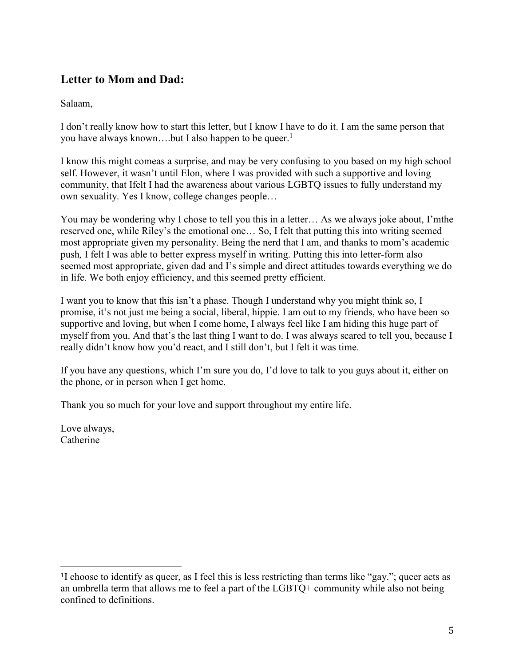# Letter to Mom and Dad:

Salaam,

I don't really know how to start this letter, but I know I have to do it. I am the same person that you have always known....but I also happen to be queer.<sup>1</sup>

I know this might comeas a surprise, and may be very confusing to you based on my high school self. However, it wasn't until Elon, where I was provided with such a supportive and loving community, that Ifelt I had the awareness about various LGBTQ issues to fully understand my own sexuality. Yes I know, college changes people…

You may be wondering why I chose to tell you this in a letter… As we always joke about, I'mthe reserved one, while Riley's the emotional one… So, I felt that putting this into writing seemed most appropriate given my personality. Being the nerd that I am, and thanks to mom's academic push*,* I felt I was able to better express myself in writing. Putting this into letter-form also seemed most appropriate, given dad and I's simple and direct attitudes towards everything we do in life. We both enjoy efficiency, and this seemed pretty efficient.

I want you to know that this isn't a phase. Though I understand why you might think so, I promise, it's not just me being a social, liberal, hippie. I am out to my friends, who have been so supportive and loving, but when I come home, I always feel like I am hiding this huge part of myself from you. And that's the last thing I want to do. I was always scared to tell you, because I really didn't know how you'd react, and I still don't, but I felt it was time.

If you have any questions, which I'm sure you do, I'd love to talk to you guys about it, either on the phone, or in person when I get home.

Thank you so much for your love and support throughout my entire life.

Love always, **Catherine** 

 $\overline{a}$ 

<sup>1</sup>I choose to identify as queer, as I feel this is less restricting than terms like "gay."; queer acts as an umbrella term that allows me to feel a part of the LGBTQ+ community while also not being confined to definitions.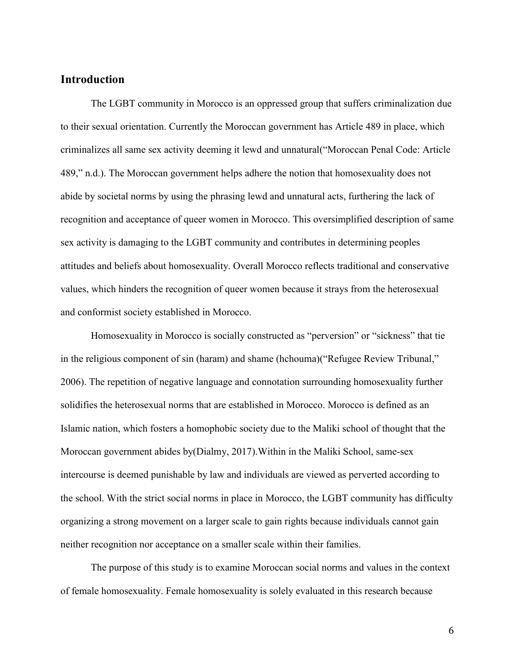# Introduction

The LGBT community in Morocco is an oppressed group that suffers criminalization due to their sexual orientation. Currently the Moroccan government has Article 489 in place, which criminalizes all same sex activity deeming it lewd and unnatural("Moroccan Penal Code: Article 489," n.d.). The Moroccan government helps adhere the notion that homosexuality does not abide by societal norms by using the phrasing lewd and unnatural acts, furthering the lack of recognition and acceptance of queer women in Morocco. This oversimplified description of same sex activity is damaging to the LGBT community and contributes in determining peoples attitudes and beliefs about homosexuality. Overall Morocco reflects traditional and conservative values, which hinders the recognition of queer women because it strays from the heterosexual and conformist society established in Morocco.

Homosexuality in Morocco is socially constructed as "perversion" or "sickness" that tie in the religious component of sin (haram) and shame (hchouma)("Refugee Review Tribunal," 2006). The repetition of negative language and connotation surrounding homosexuality further solidifies the heterosexual norms that are established in Morocco. Morocco is defined as an Islamic nation, which fosters a homophobic society due to the Maliki school of thought that the Moroccan government abides by(Dialmy, 2017).Within in the Maliki School, same-sex intercourse is deemed punishable by law and individuals are viewed as perverted according to the school. With the strict social norms in place in Morocco, the LGBT community has difficulty organizing a strong movement on a larger scale to gain rights because individuals cannot gain neither recognition nor acceptance on a smaller scale within their families.

The purpose of this study is to examine Moroccan social norms and values in the context of female homosexuality. Female homosexuality is solely evaluated in this research because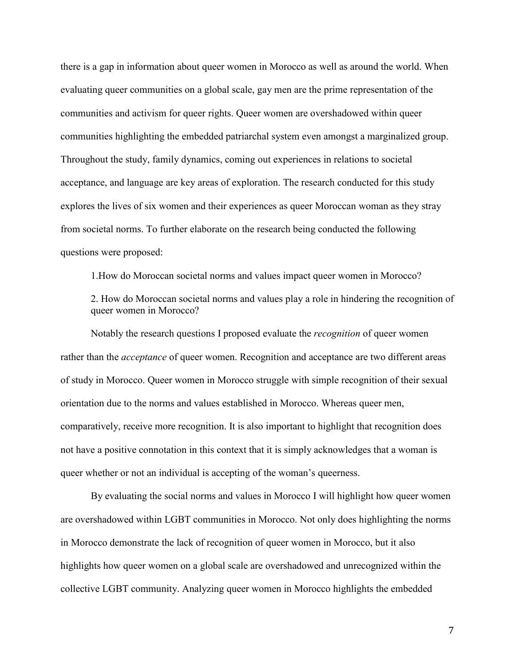there is a gap in information about queer women in Morocco as well as around the world. When evaluating queer communities on a global scale, gay men are the prime representation of the communities and activism for queer rights. Queer women are overshadowed within queer communities highlighting the embedded patriarchal system even amongst a marginalized group. Throughout the study, family dynamics, coming out experiences in relations to societal acceptance, and language are key areas of exploration. The research conducted for this study explores the lives of six women and their experiences as queer Moroccan woman as they stray from societal norms. To further elaborate on the research being conducted the following questions were proposed:

1.How do Moroccan societal norms and values impact queer women in Morocco?

2. How do Moroccan societal norms and values play a role in hindering the recognition of queer women in Morocco?

Notably the research questions I proposed evaluate the *recognition* of queer women rather than the *acceptance* of queer women. Recognition and acceptance are two different areas of study in Morocco. Queer women in Morocco struggle with simple recognition of their sexual orientation due to the norms and values established in Morocco. Whereas queer men, comparatively, receive more recognition. It is also important to highlight that recognition does not have a positive connotation in this context that it is simply acknowledges that a woman is queer whether or not an individual is accepting of the woman's queerness.

By evaluating the social norms and values in Morocco I will highlight how queer women are overshadowed within LGBT communities in Morocco. Not only does highlighting the norms in Morocco demonstrate the lack of recognition of queer women in Morocco, but it also highlights how queer women on a global scale are overshadowed and unrecognized within the collective LGBT community. Analyzing queer women in Morocco highlights the embedded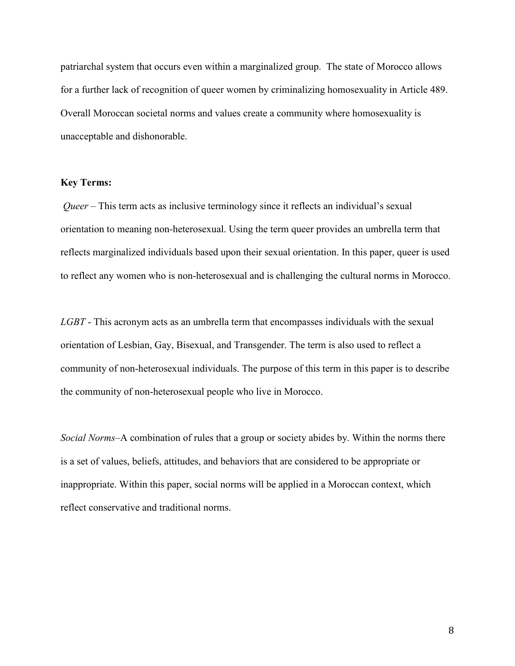patriarchal system that occurs even within a marginalized group. The state of Morocco allows for a further lack of recognition of queer women by criminalizing homosexuality in Article 489. Overall Moroccan societal norms and values create a community where homosexuality is unacceptable and dishonorable.

#### Key Terms:

*Queer* – This term acts as inclusive terminology since it reflects an individual's sexual orientation to meaning non-heterosexual. Using the term queer provides an umbrella term that reflects marginalized individuals based upon their sexual orientation. In this paper, queer is used to reflect any women who is non-heterosexual and is challenging the cultural norms in Morocco.

*LGBT* - This acronym acts as an umbrella term that encompasses individuals with the sexual orientation of Lesbian, Gay, Bisexual, and Transgender. The term is also used to reflect a community of non-heterosexual individuals. The purpose of this term in this paper is to describe the community of non-heterosexual people who live in Morocco.

*Social Norms*–A combination of rules that a group or society abides by. Within the norms there is a set of values, beliefs, attitudes, and behaviors that are considered to be appropriate or inappropriate. Within this paper, social norms will be applied in a Moroccan context, which reflect conservative and traditional norms.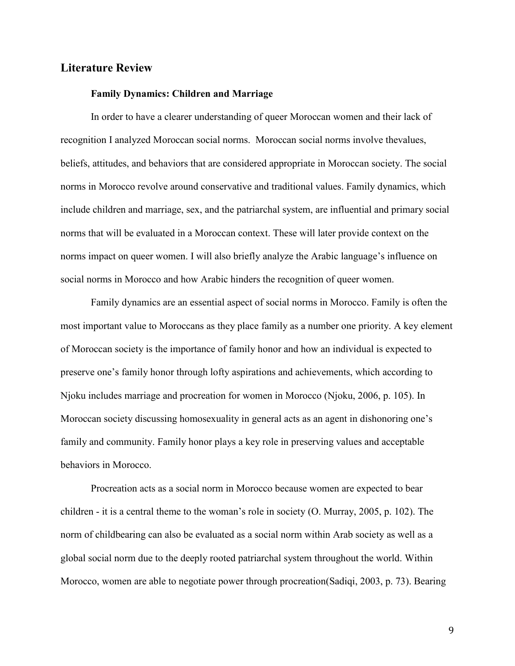# Literature Review

#### Family Dynamics: Children and Marriage

In order to have a clearer understanding of queer Moroccan women and their lack of recognition I analyzed Moroccan social norms. Moroccan social norms involve thevalues, beliefs, attitudes, and behaviors that are considered appropriate in Moroccan society. The social norms in Morocco revolve around conservative and traditional values. Family dynamics, which include children and marriage, sex, and the patriarchal system, are influential and primary social norms that will be evaluated in a Moroccan context. These will later provide context on the norms impact on queer women. I will also briefly analyze the Arabic language's influence on social norms in Morocco and how Arabic hinders the recognition of queer women.

Family dynamics are an essential aspect of social norms in Morocco. Family is often the most important value to Moroccans as they place family as a number one priority. A key element of Moroccan society is the importance of family honor and how an individual is expected to preserve one's family honor through lofty aspirations and achievements, which according to Njoku includes marriage and procreation for women in Morocco (Njoku, 2006, p. 105). In Moroccan society discussing homosexuality in general acts as an agent in dishonoring one's family and community. Family honor plays a key role in preserving values and acceptable behaviors in Morocco.

Procreation acts as a social norm in Morocco because women are expected to bear children - it is a central theme to the woman's role in society (O. Murray, 2005, p. 102). The norm of childbearing can also be evaluated as a social norm within Arab society as well as a global social norm due to the deeply rooted patriarchal system throughout the world. Within Morocco, women are able to negotiate power through procreation(Sadiqi, 2003, p. 73). Bearing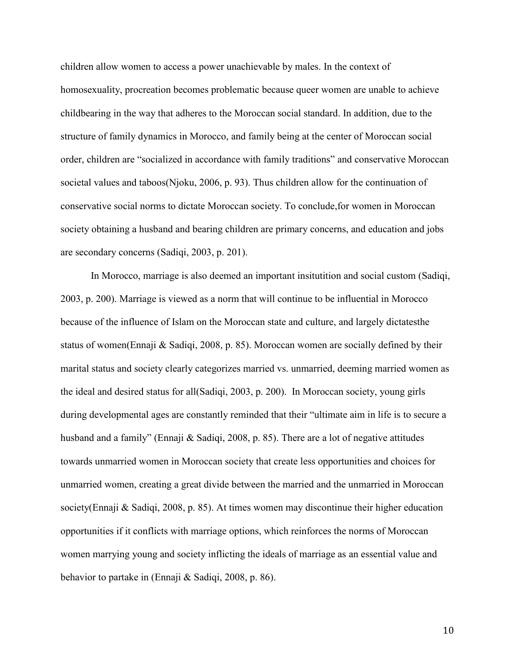children allow women to access a power unachievable by males. In the context of homosexuality, procreation becomes problematic because queer women are unable to achieve childbearing in the way that adheres to the Moroccan social standard. In addition, due to the structure of family dynamics in Morocco, and family being at the center of Moroccan social order, children are "socialized in accordance with family traditions" and conservative Moroccan societal values and taboos(Njoku, 2006, p. 93). Thus children allow for the continuation of conservative social norms to dictate Moroccan society. To conclude,for women in Moroccan society obtaining a husband and bearing children are primary concerns, and education and jobs are secondary concerns (Sadiqi, 2003, p. 201).

In Morocco, marriage is also deemed an important insitutition and social custom (Sadiqi, 2003, p. 200). Marriage is viewed as a norm that will continue to be influential in Morocco because of the influence of Islam on the Moroccan state and culture, and largely dictatesthe status of women(Ennaji & Sadiqi, 2008, p. 85). Moroccan women are socially defined by their marital status and society clearly categorizes married vs. unmarried, deeming married women as the ideal and desired status for all(Sadiqi, 2003, p. 200). In Moroccan society, young girls during developmental ages are constantly reminded that their "ultimate aim in life is to secure a husband and a family" (Ennaji & Sadiqi, 2008, p. 85). There are a lot of negative attitudes towards unmarried women in Moroccan society that create less opportunities and choices for unmarried women, creating a great divide between the married and the unmarried in Moroccan society(Ennaji & Sadiqi, 2008, p. 85). At times women may discontinue their higher education opportunities if it conflicts with marriage options, which reinforces the norms of Moroccan women marrying young and society inflicting the ideals of marriage as an essential value and behavior to partake in (Ennaji & Sadiqi, 2008, p. 86).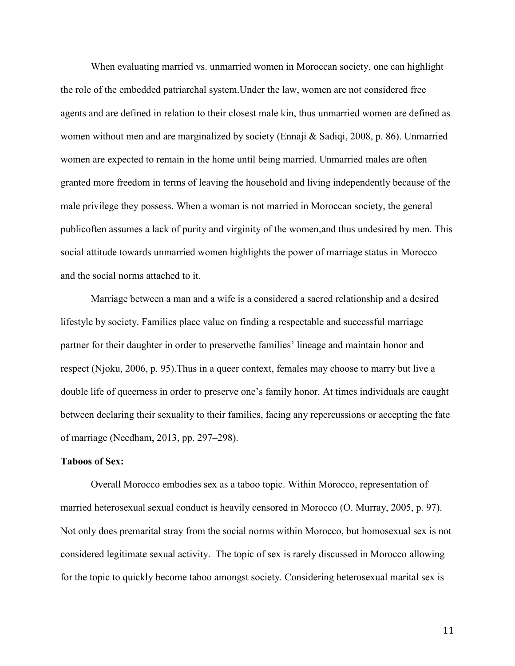When evaluating married vs. unmarried women in Moroccan society, one can highlight the role of the embedded patriarchal system.Under the law, women are not considered free agents and are defined in relation to their closest male kin, thus unmarried women are defined as women without men and are marginalized by society (Ennaji & Sadiqi, 2008, p. 86). Unmarried women are expected to remain in the home until being married. Unmarried males are often granted more freedom in terms of leaving the household and living independently because of the male privilege they possess. When a woman is not married in Moroccan society, the general publicoften assumes a lack of purity and virginity of the women,and thus undesired by men. This social attitude towards unmarried women highlights the power of marriage status in Morocco and the social norms attached to it.

Marriage between a man and a wife is a considered a sacred relationship and a desired lifestyle by society. Families place value on finding a respectable and successful marriage partner for their daughter in order to preservethe families' lineage and maintain honor and respect (Njoku, 2006, p. 95).Thus in a queer context, females may choose to marry but live a double life of queerness in order to preserve one's family honor. At times individuals are caught between declaring their sexuality to their families, facing any repercussions or accepting the fate of marriage (Needham, 2013, pp. 297–298).

#### Taboos of Sex:

Overall Morocco embodies sex as a taboo topic. Within Morocco, representation of married heterosexual sexual conduct is heavily censored in Morocco (O. Murray, 2005, p. 97). Not only does premarital stray from the social norms within Morocco, but homosexual sex is not considered legitimate sexual activity. The topic of sex is rarely discussed in Morocco allowing for the topic to quickly become taboo amongst society. Considering heterosexual marital sex is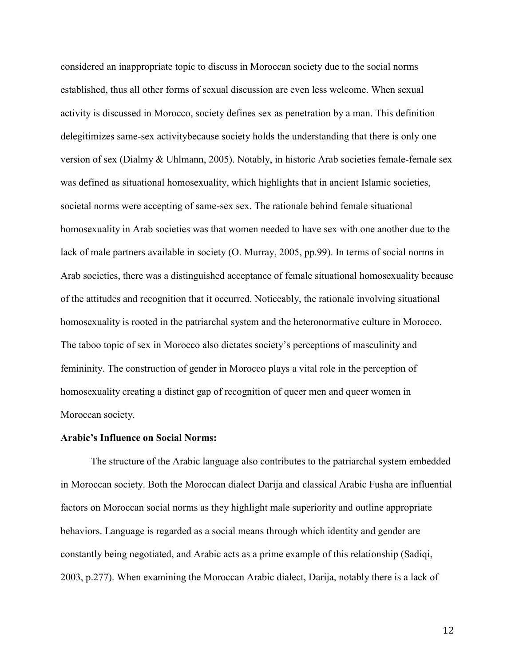considered an inappropriate topic to discuss in Moroccan society due to the social norms established, thus all other forms of sexual discussion are even less welcome. When sexual activity is discussed in Morocco, society defines sex as penetration by a man. This definition delegitimizes same-sex activitybecause society holds the understanding that there is only one version of sex (Dialmy & Uhlmann, 2005). Notably, in historic Arab societies female-female sex was defined as situational homosexuality, which highlights that in ancient Islamic societies, societal norms were accepting of same-sex sex. The rationale behind female situational homosexuality in Arab societies was that women needed to have sex with one another due to the lack of male partners available in society (O. Murray, 2005, pp.99). In terms of social norms in Arab societies, there was a distinguished acceptance of female situational homosexuality because of the attitudes and recognition that it occurred. Noticeably, the rationale involving situational homosexuality is rooted in the patriarchal system and the heteronormative culture in Morocco. The taboo topic of sex in Morocco also dictates society's perceptions of masculinity and femininity. The construction of gender in Morocco plays a vital role in the perception of homosexuality creating a distinct gap of recognition of queer men and queer women in Moroccan society.

#### Arabic's Influence on Social Norms:

The structure of the Arabic language also contributes to the patriarchal system embedded in Moroccan society. Both the Moroccan dialect Darija and classical Arabic Fusha are influential factors on Moroccan social norms as they highlight male superiority and outline appropriate behaviors. Language is regarded as a social means through which identity and gender are constantly being negotiated, and Arabic acts as a prime example of this relationship (Sadiqi, 2003, p.277). When examining the Moroccan Arabic dialect, Darija, notably there is a lack of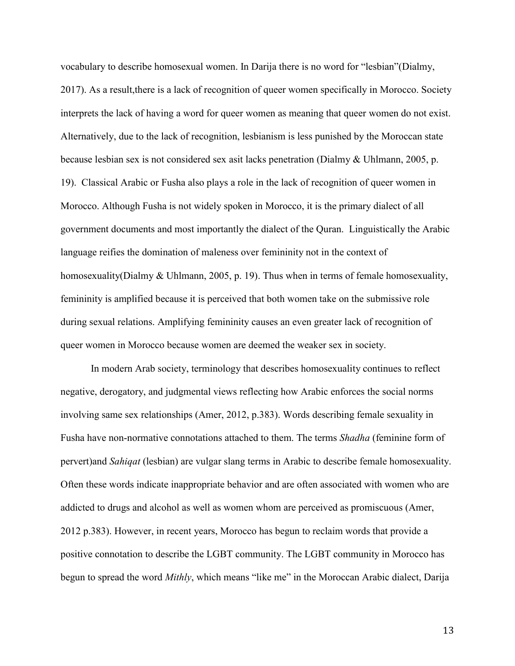vocabulary to describe homosexual women. In Darija there is no word for "lesbian"(Dialmy, 2017). As a result,there is a lack of recognition of queer women specifically in Morocco. Society interprets the lack of having a word for queer women as meaning that queer women do not exist. Alternatively, due to the lack of recognition, lesbianism is less punished by the Moroccan state because lesbian sex is not considered sex asit lacks penetration (Dialmy & Uhlmann, 2005, p. 19). Classical Arabic or Fusha also plays a role in the lack of recognition of queer women in Morocco. Although Fusha is not widely spoken in Morocco, it is the primary dialect of all government documents and most importantly the dialect of the Quran. Linguistically the Arabic language reifies the domination of maleness over femininity not in the context of homosexuality(Dialmy & Uhlmann, 2005, p. 19). Thus when in terms of female homosexuality, femininity is amplified because it is perceived that both women take on the submissive role during sexual relations. Amplifying femininity causes an even greater lack of recognition of queer women in Morocco because women are deemed the weaker sex in society.

In modern Arab society, terminology that describes homosexuality continues to reflect negative, derogatory, and judgmental views reflecting how Arabic enforces the social norms involving same sex relationships (Amer, 2012, p.383). Words describing female sexuality in Fusha have non-normative connotations attached to them. The terms *Shadha* (feminine form of pervert)and *Sahiqat* (lesbian) are vulgar slang terms in Arabic to describe female homosexuality. Often these words indicate inappropriate behavior and are often associated with women who are addicted to drugs and alcohol as well as women whom are perceived as promiscuous (Amer, 2012 p.383). However, in recent years, Morocco has begun to reclaim words that provide a positive connotation to describe the LGBT community. The LGBT community in Morocco has begun to spread the word *Mithly*, which means "like me" in the Moroccan Arabic dialect, Darija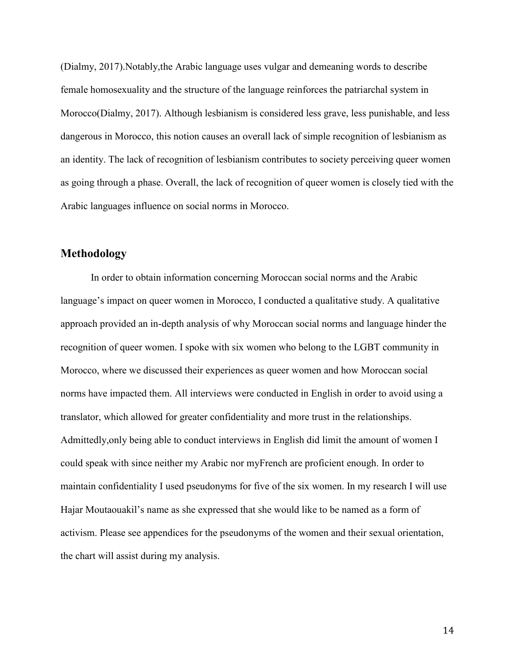(Dialmy, 2017).Notably,the Arabic language uses vulgar and demeaning words to describe female homosexuality and the structure of the language reinforces the patriarchal system in Morocco(Dialmy, 2017). Although lesbianism is considered less grave, less punishable, and less dangerous in Morocco, this notion causes an overall lack of simple recognition of lesbianism as an identity. The lack of recognition of lesbianism contributes to society perceiving queer women as going through a phase. Overall, the lack of recognition of queer women is closely tied with the Arabic languages influence on social norms in Morocco.

# Methodology

In order to obtain information concerning Moroccan social norms and the Arabic language's impact on queer women in Morocco, I conducted a qualitative study. A qualitative approach provided an in-depth analysis of why Moroccan social norms and language hinder the recognition of queer women. I spoke with six women who belong to the LGBT community in Morocco, where we discussed their experiences as queer women and how Moroccan social norms have impacted them. All interviews were conducted in English in order to avoid using a translator, which allowed for greater confidentiality and more trust in the relationships. Admittedly,only being able to conduct interviews in English did limit the amount of women I could speak with since neither my Arabic nor myFrench are proficient enough. In order to maintain confidentiality I used pseudonyms for five of the six women. In my research I will use Hajar Moutaouakil's name as she expressed that she would like to be named as a form of activism. Please see appendices for the pseudonyms of the women and their sexual orientation, the chart will assist during my analysis.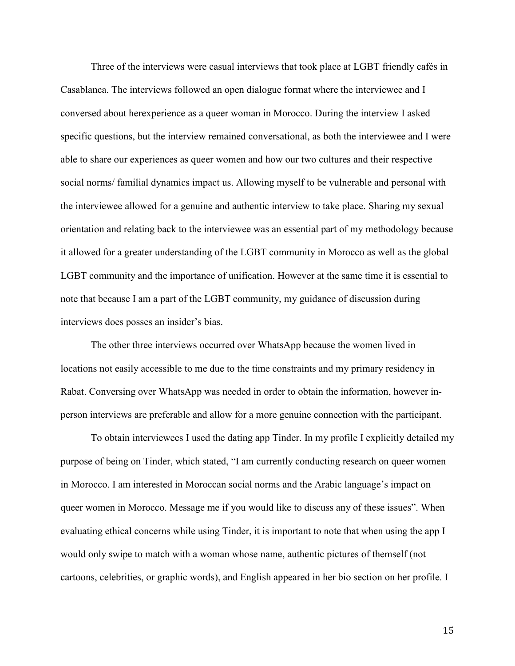Three of the interviews were casual interviews that took place at LGBT friendly cafés in Casablanca. The interviews followed an open dialogue format where the interviewee and I conversed about herexperience as a queer woman in Morocco. During the interview I asked specific questions, but the interview remained conversational, as both the interviewee and I were able to share our experiences as queer women and how our two cultures and their respective social norms/ familial dynamics impact us. Allowing myself to be vulnerable and personal with the interviewee allowed for a genuine and authentic interview to take place. Sharing my sexual orientation and relating back to the interviewee was an essential part of my methodology because it allowed for a greater understanding of the LGBT community in Morocco as well as the global LGBT community and the importance of unification. However at the same time it is essential to note that because I am a part of the LGBT community, my guidance of discussion during interviews does posses an insider's bias.

The other three interviews occurred over WhatsApp because the women lived in locations not easily accessible to me due to the time constraints and my primary residency in Rabat. Conversing over WhatsApp was needed in order to obtain the information, however inperson interviews are preferable and allow for a more genuine connection with the participant.

To obtain interviewees I used the dating app Tinder. In my profile I explicitly detailed my purpose of being on Tinder, which stated, "I am currently conducting research on queer women in Morocco. I am interested in Moroccan social norms and the Arabic language's impact on queer women in Morocco. Message me if you would like to discuss any of these issues". When evaluating ethical concerns while using Tinder, it is important to note that when using the app I would only swipe to match with a woman whose name, authentic pictures of themself (not cartoons, celebrities, or graphic words), and English appeared in her bio section on her profile. I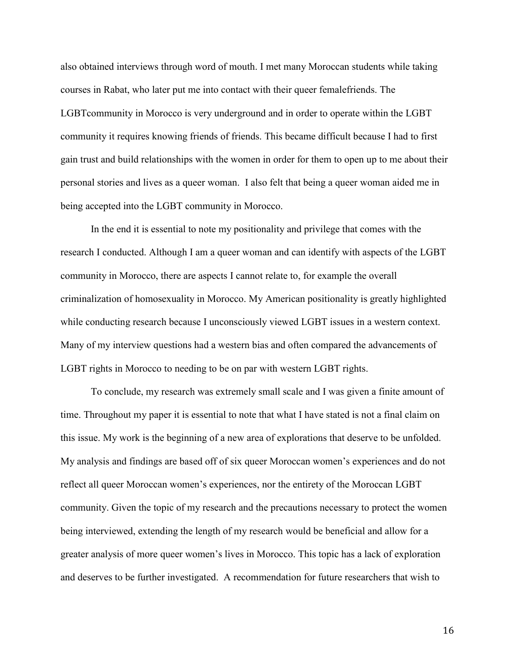also obtained interviews through word of mouth. I met many Moroccan students while taking courses in Rabat, who later put me into contact with their queer femalefriends. The LGBTcommunity in Morocco is very underground and in order to operate within the LGBT community it requires knowing friends of friends. This became difficult because I had to first gain trust and build relationships with the women in order for them to open up to me about their personal stories and lives as a queer woman. I also felt that being a queer woman aided me in being accepted into the LGBT community in Morocco.

In the end it is essential to note my positionality and privilege that comes with the research I conducted. Although I am a queer woman and can identify with aspects of the LGBT community in Morocco, there are aspects I cannot relate to, for example the overall criminalization of homosexuality in Morocco. My American positionality is greatly highlighted while conducting research because I unconsciously viewed LGBT issues in a western context. Many of my interview questions had a western bias and often compared the advancements of LGBT rights in Morocco to needing to be on par with western LGBT rights.

To conclude, my research was extremely small scale and I was given a finite amount of time. Throughout my paper it is essential to note that what I have stated is not a final claim on this issue. My work is the beginning of a new area of explorations that deserve to be unfolded. My analysis and findings are based off of six queer Moroccan women's experiences and do not reflect all queer Moroccan women's experiences, nor the entirety of the Moroccan LGBT community. Given the topic of my research and the precautions necessary to protect the women being interviewed, extending the length of my research would be beneficial and allow for a greater analysis of more queer women's lives in Morocco. This topic has a lack of exploration and deserves to be further investigated. A recommendation for future researchers that wish to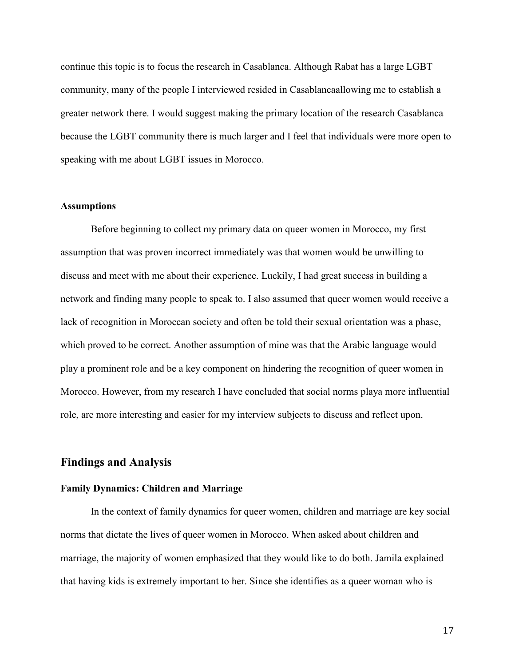continue this topic is to focus the research in Casablanca. Although Rabat has a large LGBT community, many of the people I interviewed resided in Casablancaallowing me to establish a greater network there. I would suggest making the primary location of the research Casablanca because the LGBT community there is much larger and I feel that individuals were more open to speaking with me about LGBT issues in Morocco.

#### Assumptions

Before beginning to collect my primary data on queer women in Morocco, my first assumption that was proven incorrect immediately was that women would be unwilling to discuss and meet with me about their experience. Luckily, I had great success in building a network and finding many people to speak to. I also assumed that queer women would receive a lack of recognition in Moroccan society and often be told their sexual orientation was a phase, which proved to be correct. Another assumption of mine was that the Arabic language would play a prominent role and be a key component on hindering the recognition of queer women in Morocco. However, from my research I have concluded that social norms playa more influential role, are more interesting and easier for my interview subjects to discuss and reflect upon.

#### Findings and Analysis

#### Family Dynamics: Children and Marriage

In the context of family dynamics for queer women, children and marriage are key social norms that dictate the lives of queer women in Morocco. When asked about children and marriage, the majority of women emphasized that they would like to do both. Jamila explained that having kids is extremely important to her. Since she identifies as a queer woman who is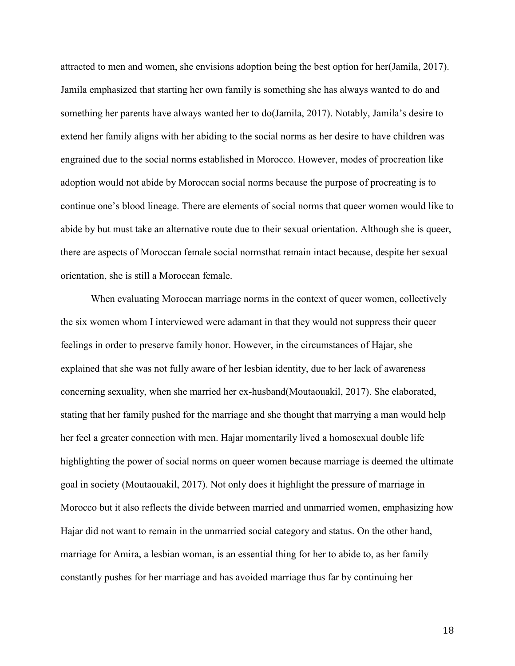attracted to men and women, she envisions adoption being the best option for her(Jamila, 2017). Jamila emphasized that starting her own family is something she has always wanted to do and something her parents have always wanted her to do(Jamila, 2017). Notably, Jamila's desire to extend her family aligns with her abiding to the social norms as her desire to have children was engrained due to the social norms established in Morocco. However, modes of procreation like adoption would not abide by Moroccan social norms because the purpose of procreating is to continue one's blood lineage. There are elements of social norms that queer women would like to abide by but must take an alternative route due to their sexual orientation. Although she is queer, there are aspects of Moroccan female social normsthat remain intact because, despite her sexual orientation, she is still a Moroccan female.

When evaluating Moroccan marriage norms in the context of queer women, collectively the six women whom I interviewed were adamant in that they would not suppress their queer feelings in order to preserve family honor. However, in the circumstances of Hajar, she explained that she was not fully aware of her lesbian identity, due to her lack of awareness concerning sexuality, when she married her ex-husband(Moutaouakil, 2017). She elaborated, stating that her family pushed for the marriage and she thought that marrying a man would help her feel a greater connection with men. Hajar momentarily lived a homosexual double life highlighting the power of social norms on queer women because marriage is deemed the ultimate goal in society (Moutaouakil, 2017). Not only does it highlight the pressure of marriage in Morocco but it also reflects the divide between married and unmarried women, emphasizing how Hajar did not want to remain in the unmarried social category and status. On the other hand, marriage for Amira, a lesbian woman, is an essential thing for her to abide to, as her family constantly pushes for her marriage and has avoided marriage thus far by continuing her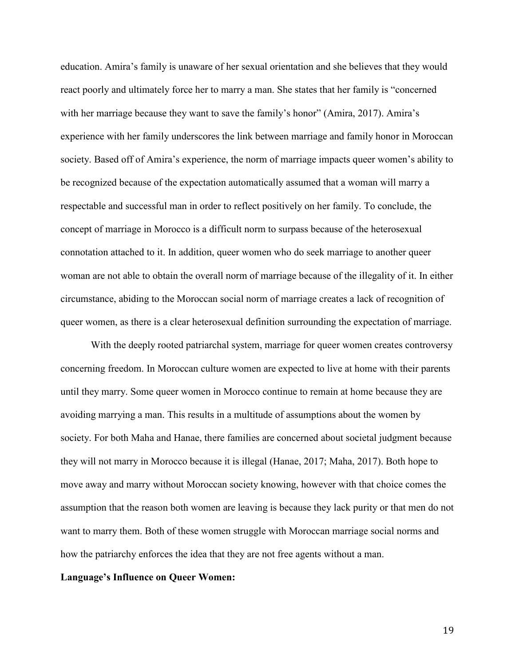education. Amira's family is unaware of her sexual orientation and she believes that they would react poorly and ultimately force her to marry a man. She states that her family is "concerned with her marriage because they want to save the family's honor" (Amira, 2017). Amira's experience with her family underscores the link between marriage and family honor in Moroccan society. Based off of Amira's experience, the norm of marriage impacts queer women's ability to be recognized because of the expectation automatically assumed that a woman will marry a respectable and successful man in order to reflect positively on her family. To conclude, the concept of marriage in Morocco is a difficult norm to surpass because of the heterosexual connotation attached to it. In addition, queer women who do seek marriage to another queer woman are not able to obtain the overall norm of marriage because of the illegality of it. In either circumstance, abiding to the Moroccan social norm of marriage creates a lack of recognition of queer women, as there is a clear heterosexual definition surrounding the expectation of marriage.

With the deeply rooted patriarchal system, marriage for queer women creates controversy concerning freedom. In Moroccan culture women are expected to live at home with their parents until they marry. Some queer women in Morocco continue to remain at home because they are avoiding marrying a man. This results in a multitude of assumptions about the women by society. For both Maha and Hanae, there families are concerned about societal judgment because they will not marry in Morocco because it is illegal (Hanae, 2017; Maha, 2017). Both hope to move away and marry without Moroccan society knowing, however with that choice comes the assumption that the reason both women are leaving is because they lack purity or that men do not want to marry them. Both of these women struggle with Moroccan marriage social norms and how the patriarchy enforces the idea that they are not free agents without a man.

#### Language's Influence on Queer Women: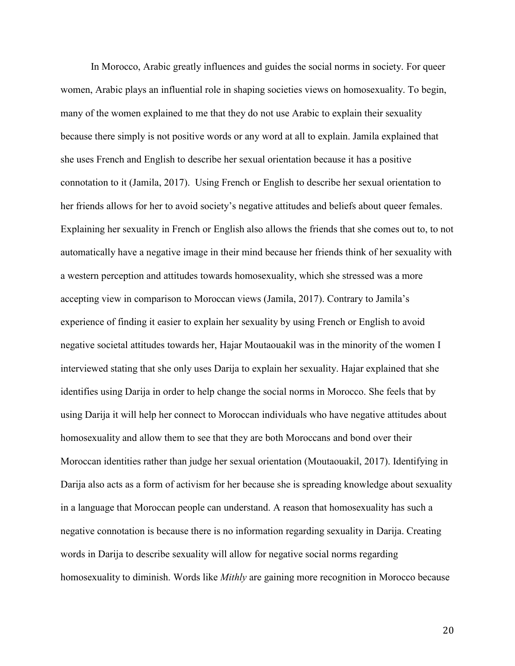In Morocco, Arabic greatly influences and guides the social norms in society. For queer women, Arabic plays an influential role in shaping societies views on homosexuality. To begin, many of the women explained to me that they do not use Arabic to explain their sexuality because there simply is not positive words or any word at all to explain. Jamila explained that she uses French and English to describe her sexual orientation because it has a positive connotation to it (Jamila, 2017). Using French or English to describe her sexual orientation to her friends allows for her to avoid society's negative attitudes and beliefs about queer females. Explaining her sexuality in French or English also allows the friends that she comes out to, to not automatically have a negative image in their mind because her friends think of her sexuality with a western perception and attitudes towards homosexuality, which she stressed was a more accepting view in comparison to Moroccan views (Jamila, 2017). Contrary to Jamila's experience of finding it easier to explain her sexuality by using French or English to avoid negative societal attitudes towards her, Hajar Moutaouakil was in the minority of the women I interviewed stating that she only uses Darija to explain her sexuality. Hajar explained that she identifies using Darija in order to help change the social norms in Morocco. She feels that by using Darija it will help her connect to Moroccan individuals who have negative attitudes about homosexuality and allow them to see that they are both Moroccans and bond over their Moroccan identities rather than judge her sexual orientation (Moutaouakil, 2017). Identifying in Darija also acts as a form of activism for her because she is spreading knowledge about sexuality in a language that Moroccan people can understand. A reason that homosexuality has such a negative connotation is because there is no information regarding sexuality in Darija. Creating words in Darija to describe sexuality will allow for negative social norms regarding homosexuality to diminish. Words like *Mithly* are gaining more recognition in Morocco because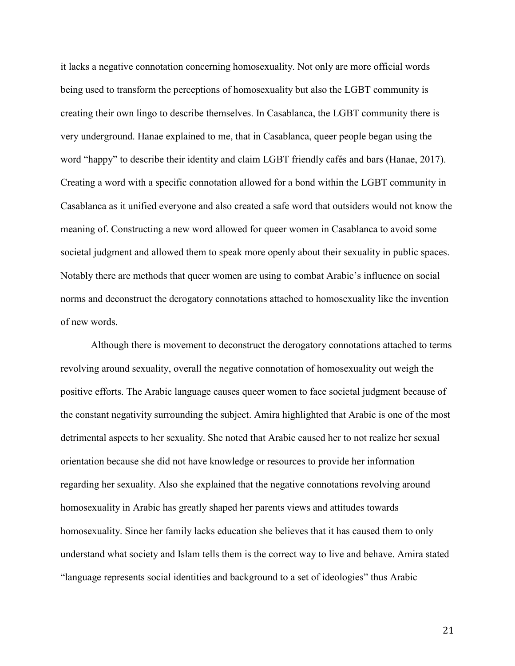it lacks a negative connotation concerning homosexuality. Not only are more official words being used to transform the perceptions of homosexuality but also the LGBT community is creating their own lingo to describe themselves. In Casablanca, the LGBT community there is very underground. Hanae explained to me, that in Casablanca, queer people began using the word "happy" to describe their identity and claim LGBT friendly cafés and bars (Hanae, 2017). Creating a word with a specific connotation allowed for a bond within the LGBT community in Casablanca as it unified everyone and also created a safe word that outsiders would not know the meaning of. Constructing a new word allowed for queer women in Casablanca to avoid some societal judgment and allowed them to speak more openly about their sexuality in public spaces. Notably there are methods that queer women are using to combat Arabic's influence on social norms and deconstruct the derogatory connotations attached to homosexuality like the invention of new words.

Although there is movement to deconstruct the derogatory connotations attached to terms revolving around sexuality, overall the negative connotation of homosexuality out weigh the positive efforts. The Arabic language causes queer women to face societal judgment because of the constant negativity surrounding the subject. Amira highlighted that Arabic is one of the most detrimental aspects to her sexuality. She noted that Arabic caused her to not realize her sexual orientation because she did not have knowledge or resources to provide her information regarding her sexuality. Also she explained that the negative connotations revolving around homosexuality in Arabic has greatly shaped her parents views and attitudes towards homosexuality. Since her family lacks education she believes that it has caused them to only understand what society and Islam tells them is the correct way to live and behave. Amira stated "language represents social identities and background to a set of ideologies" thus Arabic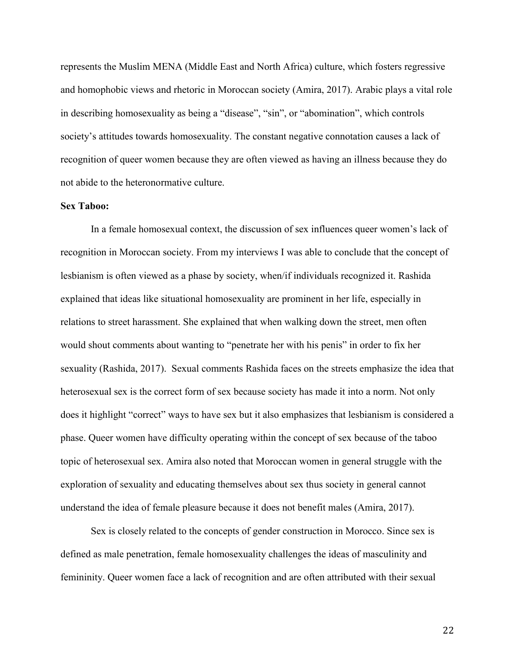represents the Muslim MENA (Middle East and North Africa) culture, which fosters regressive and homophobic views and rhetoric in Moroccan society (Amira, 2017). Arabic plays a vital role in describing homosexuality as being a "disease", "sin", or "abomination", which controls society's attitudes towards homosexuality. The constant negative connotation causes a lack of recognition of queer women because they are often viewed as having an illness because they do not abide to the heteronormative culture.

#### Sex Taboo:

In a female homosexual context, the discussion of sex influences queer women's lack of recognition in Moroccan society. From my interviews I was able to conclude that the concept of lesbianism is often viewed as a phase by society, when/if individuals recognized it. Rashida explained that ideas like situational homosexuality are prominent in her life, especially in relations to street harassment. She explained that when walking down the street, men often would shout comments about wanting to "penetrate her with his penis" in order to fix her sexuality (Rashida, 2017). Sexual comments Rashida faces on the streets emphasize the idea that heterosexual sex is the correct form of sex because society has made it into a norm. Not only does it highlight "correct" ways to have sex but it also emphasizes that lesbianism is considered a phase. Queer women have difficulty operating within the concept of sex because of the taboo topic of heterosexual sex. Amira also noted that Moroccan women in general struggle with the exploration of sexuality and educating themselves about sex thus society in general cannot understand the idea of female pleasure because it does not benefit males (Amira, 2017).

Sex is closely related to the concepts of gender construction in Morocco. Since sex is defined as male penetration, female homosexuality challenges the ideas of masculinity and femininity. Queer women face a lack of recognition and are often attributed with their sexual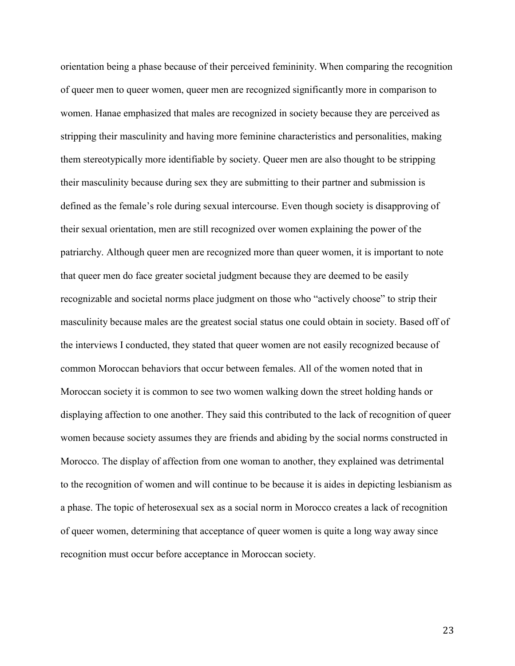orientation being a phase because of their perceived femininity. When comparing the recognition of queer men to queer women, queer men are recognized significantly more in comparison to women. Hanae emphasized that males are recognized in society because they are perceived as stripping their masculinity and having more feminine characteristics and personalities, making them stereotypically more identifiable by society. Queer men are also thought to be stripping their masculinity because during sex they are submitting to their partner and submission is defined as the female's role during sexual intercourse. Even though society is disapproving of their sexual orientation, men are still recognized over women explaining the power of the patriarchy. Although queer men are recognized more than queer women, it is important to note that queer men do face greater societal judgment because they are deemed to be easily recognizable and societal norms place judgment on those who "actively choose" to strip their masculinity because males are the greatest social status one could obtain in society. Based off of the interviews I conducted, they stated that queer women are not easily recognized because of common Moroccan behaviors that occur between females. All of the women noted that in Moroccan society it is common to see two women walking down the street holding hands or displaying affection to one another. They said this contributed to the lack of recognition of queer women because society assumes they are friends and abiding by the social norms constructed in Morocco. The display of affection from one woman to another, they explained was detrimental to the recognition of women and will continue to be because it is aides in depicting lesbianism as a phase. The topic of heterosexual sex as a social norm in Morocco creates a lack of recognition of queer women, determining that acceptance of queer women is quite a long way away since recognition must occur before acceptance in Moroccan society.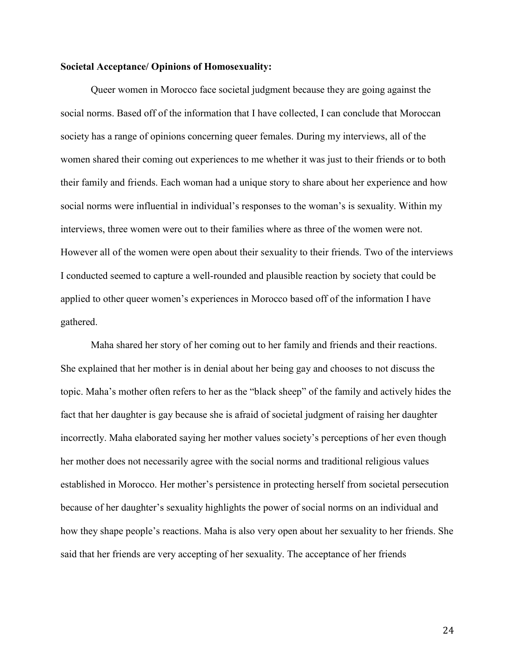#### Societal Acceptance/ Opinions of Homosexuality:

Queer women in Morocco face societal judgment because they are going against the social norms. Based off of the information that I have collected, I can conclude that Moroccan society has a range of opinions concerning queer females. During my interviews, all of the women shared their coming out experiences to me whether it was just to their friends or to both their family and friends. Each woman had a unique story to share about her experience and how social norms were influential in individual's responses to the woman's is sexuality. Within my interviews, three women were out to their families where as three of the women were not. However all of the women were open about their sexuality to their friends. Two of the interviews I conducted seemed to capture a well-rounded and plausible reaction by society that could be applied to other queer women's experiences in Morocco based off of the information I have gathered.

Maha shared her story of her coming out to her family and friends and their reactions. She explained that her mother is in denial about her being gay and chooses to not discuss the topic. Maha's mother often refers to her as the "black sheep" of the family and actively hides the fact that her daughter is gay because she is afraid of societal judgment of raising her daughter incorrectly. Maha elaborated saying her mother values society's perceptions of her even though her mother does not necessarily agree with the social norms and traditional religious values established in Morocco. Her mother's persistence in protecting herself from societal persecution because of her daughter's sexuality highlights the power of social norms on an individual and how they shape people's reactions. Maha is also very open about her sexuality to her friends. She said that her friends are very accepting of her sexuality. The acceptance of her friends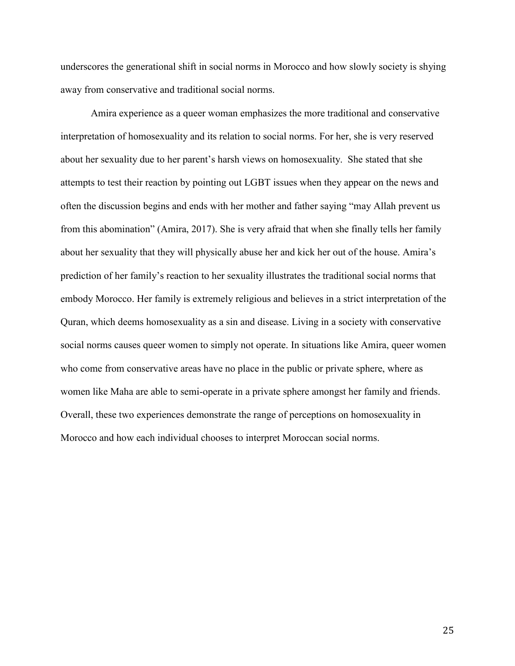underscores the generational shift in social norms in Morocco and how slowly society is shying away from conservative and traditional social norms.

Amira experience as a queer woman emphasizes the more traditional and conservative interpretation of homosexuality and its relation to social norms. For her, she is very reserved about her sexuality due to her parent's harsh views on homosexuality. She stated that she attempts to test their reaction by pointing out LGBT issues when they appear on the news and often the discussion begins and ends with her mother and father saying "may Allah prevent us from this abomination" (Amira, 2017). She is very afraid that when she finally tells her family about her sexuality that they will physically abuse her and kick her out of the house. Amira's prediction of her family's reaction to her sexuality illustrates the traditional social norms that embody Morocco. Her family is extremely religious and believes in a strict interpretation of the Quran, which deems homosexuality as a sin and disease. Living in a society with conservative social norms causes queer women to simply not operate. In situations like Amira, queer women who come from conservative areas have no place in the public or private sphere, where as women like Maha are able to semi-operate in a private sphere amongst her family and friends. Overall, these two experiences demonstrate the range of perceptions on homosexuality in Morocco and how each individual chooses to interpret Moroccan social norms.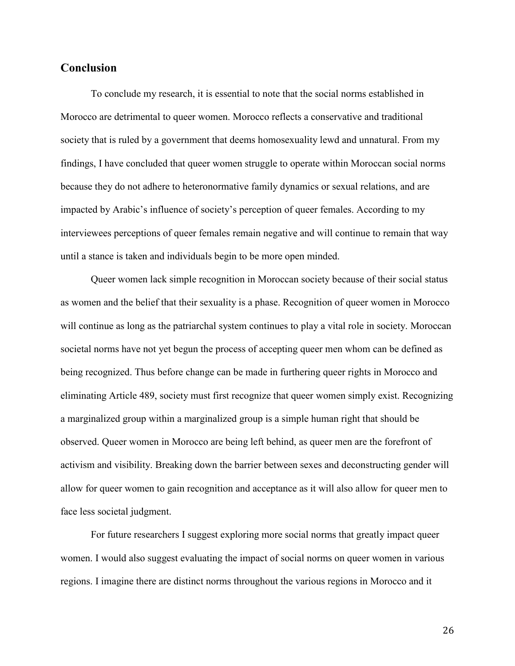# **Conclusion**

To conclude my research, it is essential to note that the social norms established in Morocco are detrimental to queer women. Morocco reflects a conservative and traditional society that is ruled by a government that deems homosexuality lewd and unnatural. From my findings, I have concluded that queer women struggle to operate within Moroccan social norms because they do not adhere to heteronormative family dynamics or sexual relations, and are impacted by Arabic's influence of society's perception of queer females. According to my interviewees perceptions of queer females remain negative and will continue to remain that way until a stance is taken and individuals begin to be more open minded.

Queer women lack simple recognition in Moroccan society because of their social status as women and the belief that their sexuality is a phase. Recognition of queer women in Morocco will continue as long as the patriarchal system continues to play a vital role in society. Moroccan societal norms have not yet begun the process of accepting queer men whom can be defined as being recognized. Thus before change can be made in furthering queer rights in Morocco and eliminating Article 489, society must first recognize that queer women simply exist. Recognizing a marginalized group within a marginalized group is a simple human right that should be observed. Queer women in Morocco are being left behind, as queer men are the forefront of activism and visibility. Breaking down the barrier between sexes and deconstructing gender will allow for queer women to gain recognition and acceptance as it will also allow for queer men to face less societal judgment.

For future researchers I suggest exploring more social norms that greatly impact queer women. I would also suggest evaluating the impact of social norms on queer women in various regions. I imagine there are distinct norms throughout the various regions in Morocco and it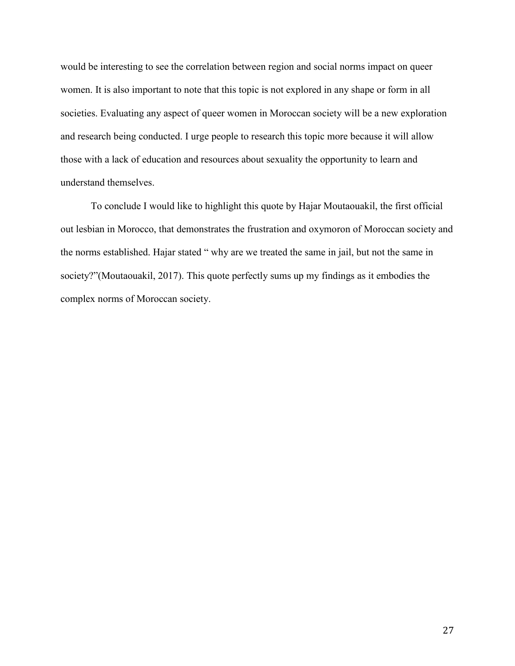would be interesting to see the correlation between region and social norms impact on queer women. It is also important to note that this topic is not explored in any shape or form in all societies. Evaluating any aspect of queer women in Moroccan society will be a new exploration and research being conducted. I urge people to research this topic more because it will allow those with a lack of education and resources about sexuality the opportunity to learn and understand themselves.

To conclude I would like to highlight this quote by Hajar Moutaouakil, the first official out lesbian in Morocco, that demonstrates the frustration and oxymoron of Moroccan society and the norms established. Hajar stated " why are we treated the same in jail, but not the same in society?"(Moutaouakil, 2017). This quote perfectly sums up my findings as it embodies the complex norms of Moroccan society.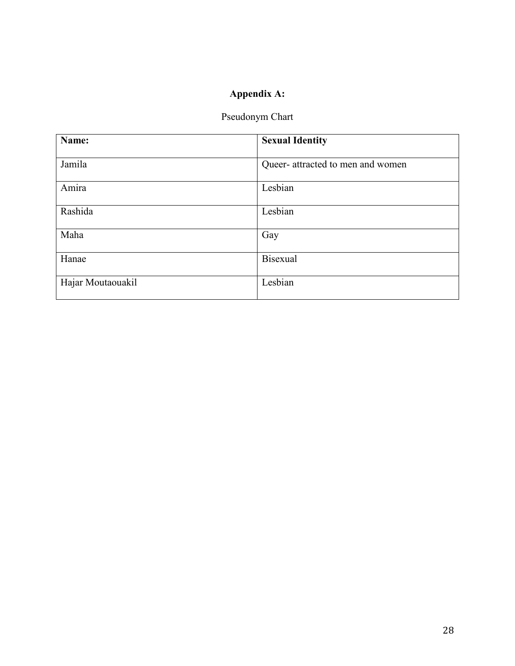# Appendix A:

# Pseudonym Chart

| Name:             | <b>Sexual Identity</b>            |
|-------------------|-----------------------------------|
| Jamila            | Queer- attracted to men and women |
| Amira             | Lesbian                           |
| Rashida           | Lesbian                           |
| Maha              | Gay                               |
| Hanae             | Bisexual                          |
| Hajar Moutaouakil | Lesbian                           |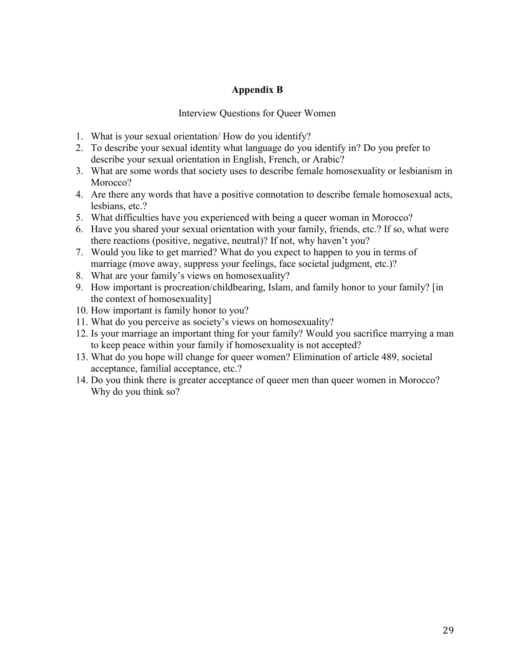# Appendix B

### Interview Questions for Queer Women

- 1. What is your sexual orientation/ How do you identify?
- 2. To describe your sexual identity what language do you identify in? Do you prefer to describe your sexual orientation in English, French, or Arabic?
- 3. What are some words that society uses to describe female homosexuality or lesbianism in Morocco?
- 4. Are there any words that have a positive connotation to describe female homosexual acts, lesbians, etc.?
- 5. What difficulties have you experienced with being a queer woman in Morocco?
- 6. Have you shared your sexual orientation with your family, friends, etc.? If so, what were there reactions (positive, negative, neutral)? If not, why haven't you?
- 7. Would you like to get married? What do you expect to happen to you in terms of marriage (move away, suppress your feelings, face societal judgment, etc.)?
- 8. What are your family's views on homosexuality?
- 9. How important is procreation/childbearing, Islam, and family honor to your family? [in the context of homosexuality]
- 10. How important is family honor to you?
- 11. What do you perceive as society's views on homosexuality?
- 12. Is your marriage an important thing for your family? Would you sacrifice marrying a man to keep peace within your family if homosexuality is not accepted?
- 13. What do you hope will change for queer women? Elimination of article 489, societal acceptance, familial acceptance, etc.?
- 14. Do you think there is greater acceptance of queer men than queer women in Morocco? Why do you think so?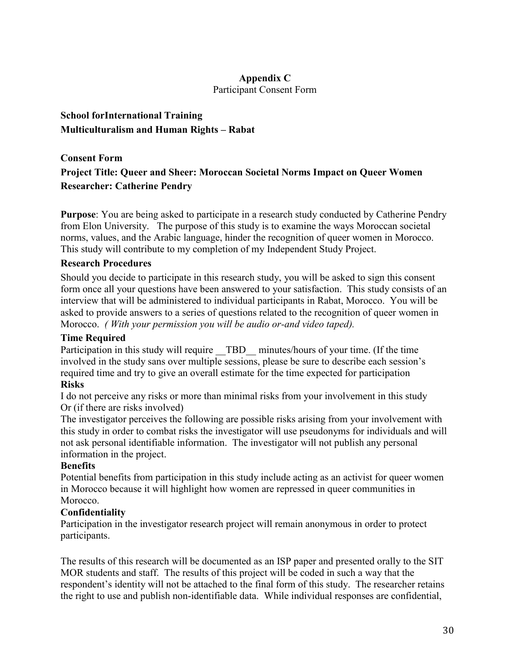# Appendix C

Participant Consent Form

# School forInternational Training Multiculturalism and Human Rights – Rabat

# Consent Form Project Title: Queer and Sheer: Moroccan Societal Norms Impact on Queer Women Researcher: Catherine Pendry

Purpose: You are being asked to participate in a research study conducted by Catherine Pendry from Elon University. The purpose of this study is to examine the ways Moroccan societal norms, values, and the Arabic language, hinder the recognition of queer women in Morocco. This study will contribute to my completion of my Independent Study Project.

# Research Procedures

Should you decide to participate in this research study, you will be asked to sign this consent form once all your questions have been answered to your satisfaction. This study consists of an interview that will be administered to individual participants in Rabat, Morocco. You will be asked to provide answers to a series of questions related to the recognition of queer women in Morocco. *( With your permission you will be audio or-and video taped).*

# Time Required

Participation in this study will require \_\_TBD\_\_ minutes/hours of your time. (If the time involved in the study sans over multiple sessions, please be sure to describe each session's required time and try to give an overall estimate for the time expected for participation Risks

I do not perceive any risks or more than minimal risks from your involvement in this study Or (if there are risks involved)

The investigator perceives the following are possible risks arising from your involvement with this study in order to combat risks the investigator will use pseudonyms for individuals and will not ask personal identifiable information. The investigator will not publish any personal information in the project.

# **Benefits**

Potential benefits from participation in this study include acting as an activist for queer women in Morocco because it will highlight how women are repressed in queer communities in Morocco.

# Confidentiality

Participation in the investigator research project will remain anonymous in order to protect participants.

The results of this research will be documented as an ISP paper and presented orally to the SIT MOR students and staff. The results of this project will be coded in such a way that the respondent's identity will not be attached to the final form of this study. The researcher retains the right to use and publish non-identifiable data. While individual responses are confidential,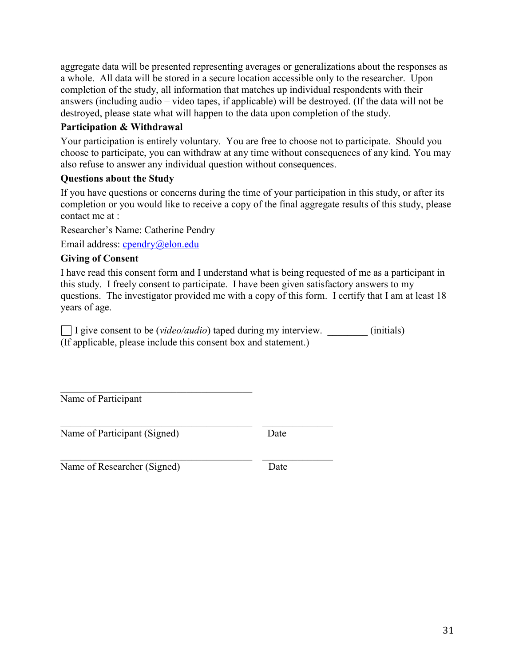aggregate data will be presented representing averages or generalizations about the responses as a whole. All data will be stored in a secure location accessible only to the researcher. Upon completion of the study, all information that matches up individual respondents with their answers (including audio – video tapes, if applicable) will be destroyed. (If the data will not be destroyed, please state what will happen to the data upon completion of the study.

# Participation & Withdrawal

Your participation is entirely voluntary. You are free to choose not to participate. Should you choose to participate, you can withdraw at any time without consequences of any kind. You may also refuse to answer any individual question without consequences.

# Questions about the Study

If you have questions or concerns during the time of your participation in this study, or after its completion or you would like to receive a copy of the final aggregate results of this study, please contact me at :

Researcher's Name: Catherine Pendry

Email address: [cpendry@elon.edu](mailto:cpendry@elon.edu)

# Giving of Consent

I have read this consent form and I understand what is being requested of me as a participant in this study. I freely consent to participate. I have been given satisfactory answers to my questions. The investigator provided me with a copy of this form. I certify that I am at least 18 years of age.

 $\Box$  I give consent to be *(video/audio)* taped during my interview.  $\Box$  (initials) (If applicable, please include this consent box and statement.)

Name of Participant

Name of Participant (Signed) Date

 $\mathcal{L}_\text{max}$  and  $\mathcal{L}_\text{max}$  and  $\mathcal{L}_\text{max}$  and  $\mathcal{L}_\text{max}$ 

 $\mathcal{L}_\text{max}$  , and the contract of the contract of the contract of the contract of the contract of the contract of

 $\mathcal{L}_\text{max}$  , and the contract of the contract of the contract of the contract of the contract of the contract of

Name of Researcher (Signed) Date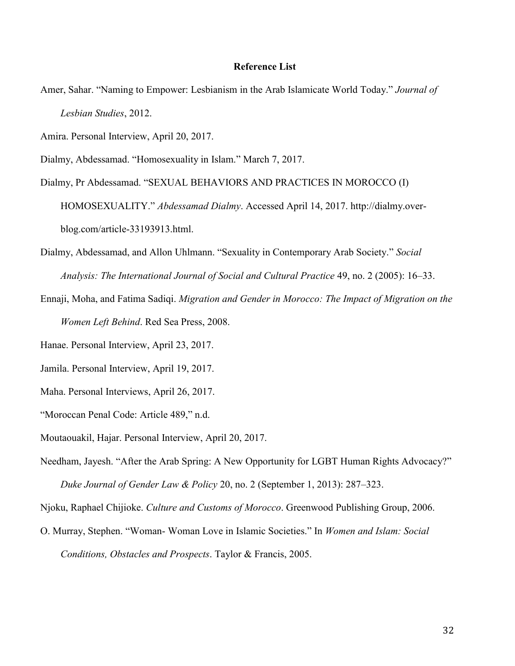#### Reference List

- Amer, Sahar. "Naming to Empower: Lesbianism in the Arab Islamicate World Today." *Journal of Lesbian Studies*, 2012.
- Amira. Personal Interview, April 20, 2017.
- Dialmy, Abdessamad. "Homosexuality in Islam." March 7, 2017.
- Dialmy, Pr Abdessamad. "SEXUAL BEHAVIORS AND PRACTICES IN MOROCCO (I) HOMOSEXUALITY." *Abdessamad Dialmy*. Accessed April 14, 2017. http://dialmy.overblog.com/article-33193913.html.
- Dialmy, Abdessamad, and Allon Uhlmann. "Sexuality in Contemporary Arab Society." *Social Analysis: The International Journal of Social and Cultural Practice* 49, no. 2 (2005): 16–33.
- Ennaji, Moha, and Fatima Sadiqi. *Migration and Gender in Morocco: The Impact of Migration on the Women Left Behind*. Red Sea Press, 2008.
- Hanae. Personal Interview, April 23, 2017.
- Jamila. Personal Interview, April 19, 2017.
- Maha. Personal Interviews, April 26, 2017.
- "Moroccan Penal Code: Article 489," n.d.
- Moutaouakil, Hajar. Personal Interview, April 20, 2017.
- Needham, Jayesh. "After the Arab Spring: A New Opportunity for LGBT Human Rights Advocacy?" *Duke Journal of Gender Law & Policy* 20, no. 2 (September 1, 2013): 287–323.
- Njoku, Raphael Chijioke. *Culture and Customs of Morocco*. Greenwood Publishing Group, 2006.
- O. Murray, Stephen. "Woman- Woman Love in Islamic Societies." In *Women and Islam: Social Conditions, Obstacles and Prospects*. Taylor & Francis, 2005.